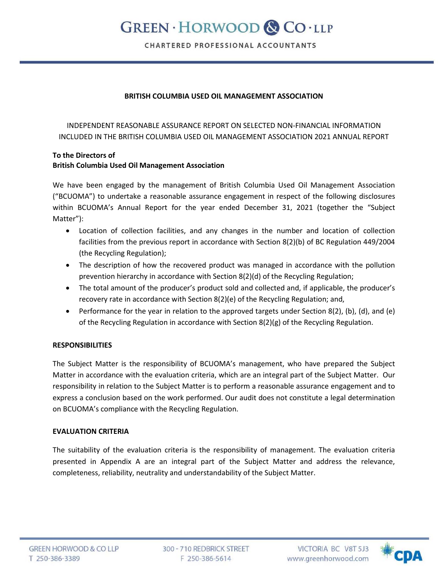# **GREEN · HORWOOD & CO · LLP**

CHARTERED PROFESSIONAL ACCOUNTANTS

## **BRITISH COLUMBIA USED OIL MANAGEMENT ASSOCIATION**

INDEPENDENT REASONABLE ASSURANCE REPORT ON SELECTED NON-FINANCIAL INFORMATION INCLUDED IN THE BRITISH COLUMBIA USED OIL MANAGEMENT ASSOCIATION 2021 ANNUAL REPORT

## **To the Directors of British Columbia Used Oil Management Association**

We have been engaged by the management of British Columbia Used Oil Management Association ("BCUOMA") to undertake a reasonable assurance engagement in respect of the following disclosures within BCUOMA's Annual Report for the year ended December 31, 2021 (together the "Subject Matter"):

- Location of collection facilities, and any changes in the number and location of collection facilities from the previous report in accordance with Section 8(2)(b) of BC Regulation 449/2004 (the Recycling Regulation);
- The description of how the recovered product was managed in accordance with the pollution prevention hierarchy in accordance with Section 8(2)(d) of the Recycling Regulation;
- The total amount of the producer's product sold and collected and, if applicable, the producer's recovery rate in accordance with Section 8(2)(e) of the Recycling Regulation; and,
- **Performance for the year in relation to the approved targets under Section 8(2), (b), (d), and (e)** of the Recycling Regulation in accordance with Section 8(2)(g) of the Recycling Regulation.

## **RESPONSIBILITIES**

The Subject Matter is the responsibility of BCUOMA's management, who have prepared the Subject Matter in accordance with the evaluation criteria, which are an integral part of the Subject Matter. Our responsibility in relation to the Subject Matter is to perform a reasonable assurance engagement and to express a conclusion based on the work performed. Our audit does not constitute a legal determination on BCUOMA's compliance with the Recycling Regulation.

#### **EVALUATION CRITERIA**

The suitability of the evaluation criteria is the responsibility of management. The evaluation criteria presented in Appendix A are an integral part of the Subject Matter and address the relevance, completeness, reliability, neutrality and understandability of the Subject Matter.

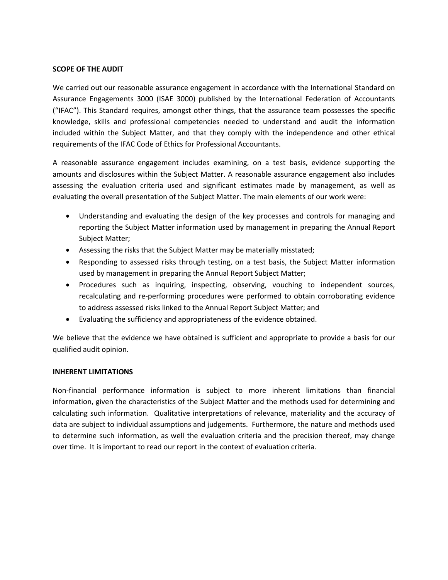## **SCOPE OF THE AUDIT**

We carried out our reasonable assurance engagement in accordance with the International Standard on Assurance Engagements 3000 (ISAE 3000) published by the International Federation of Accountants ("IFAC"). This Standard requires, amongst other things, that the assurance team possesses the specific knowledge, skills and professional competencies needed to understand and audit the information included within the Subject Matter, and that they comply with the independence and other ethical requirements of the IFAC Code of Ethics for Professional Accountants.

A reasonable assurance engagement includes examining, on a test basis, evidence supporting the amounts and disclosures within the Subject Matter. A reasonable assurance engagement also includes assessing the evaluation criteria used and significant estimates made by management, as well as evaluating the overall presentation of the Subject Matter. The main elements of our work were:

- Understanding and evaluating the design of the key processes and controls for managing and reporting the Subject Matter information used by management in preparing the Annual Report Subject Matter;
- Assessing the risks that the Subject Matter may be materially misstated;
- Responding to assessed risks through testing, on a test basis, the Subject Matter information used by management in preparing the Annual Report Subject Matter;
- Procedures such as inquiring, inspecting, observing, vouching to independent sources, recalculating and re-performing procedures were performed to obtain corroborating evidence to address assessed risks linked to the Annual Report Subject Matter; and
- Evaluating the sufficiency and appropriateness of the evidence obtained.

We believe that the evidence we have obtained is sufficient and appropriate to provide a basis for our qualified audit opinion.

#### **INHERENT LIMITATIONS**

Non-financial performance information is subject to more inherent limitations than financial information, given the characteristics of the Subject Matter and the methods used for determining and calculating such information. Qualitative interpretations of relevance, materiality and the accuracy of data are subject to individual assumptions and judgements. Furthermore, the nature and methods used to determine such information, as well the evaluation criteria and the precision thereof, may change over time. It is important to read our report in the context of evaluation criteria.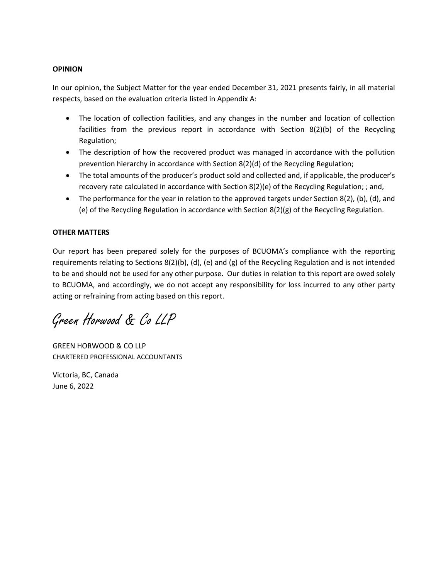## **OPINION**

In our opinion, the Subject Matter for the year ended December 31, 2021 presents fairly, in all material respects, based on the evaluation criteria listed in Appendix A:

- The location of collection facilities, and any changes in the number and location of collection facilities from the previous report in accordance with Section 8(2)(b) of the Recycling Regulation;
- The description of how the recovered product was managed in accordance with the pollution prevention hierarchy in accordance with Section 8(2)(d) of the Recycling Regulation;
- The total amounts of the producer's product sold and collected and, if applicable, the producer's recovery rate calculated in accordance with Section 8(2)(e) of the Recycling Regulation; ; and,
- $\bullet$  The performance for the year in relation to the approved targets under Section 8(2), (b), (d), and (e) of the Recycling Regulation in accordance with Section 8(2)(g) of the Recycling Regulation.

## **OTHER MATTERS**

Our report has been prepared solely for the purposes of BCUOMA's compliance with the reporting requirements relating to Sections 8(2)(b), (d), (e) and (g) of the Recycling Regulation and is not intended to be and should not be used for any other purpose. Our duties in relation to this report are owed solely to BCUOMA, and accordingly, we do not accept any responsibility for loss incurred to any other party acting or refraining from acting based on this report.

Green Horwood & Co LLP

GREEN HORWOOD & CO LLP CHARTERED PROFESSIONAL ACCOUNTANTS

Victoria, BC, Canada June 6, 2022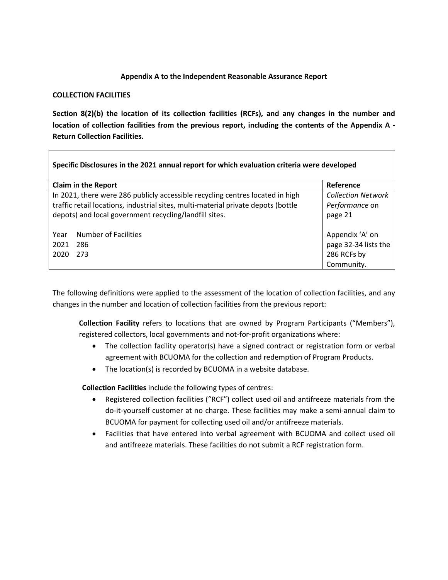## **Appendix A to the Independent Reasonable Assurance Report**

#### **COLLECTION FACILITIES**

**Section 8(2)(b) the location of its collection facilities (RCFs), and any changes in the number and location of collection facilities from the previous report, including the contents of the Appendix A - Return Collection Facilities.** 

| Specific Disclosures in the 2021 annual report for which evaluation criteria were developed |                                                                                                                                                                                                                              |                                                                      |  |  |  |  |
|---------------------------------------------------------------------------------------------|------------------------------------------------------------------------------------------------------------------------------------------------------------------------------------------------------------------------------|----------------------------------------------------------------------|--|--|--|--|
|                                                                                             | <b>Claim in the Report</b>                                                                                                                                                                                                   | Reference                                                            |  |  |  |  |
|                                                                                             | In 2021, there were 286 publicly accessible recycling centres located in high<br>traffic retail locations, industrial sites, multi-material private depots (bottle<br>depots) and local government recycling/landfill sites. | <b>Collection Network</b><br>Performance on<br>page 21               |  |  |  |  |
| Year<br>2021<br>2020                                                                        | Number of Facilities<br>286<br>273                                                                                                                                                                                           | Appendix 'A' on<br>page 32-34 lists the<br>286 RCFs by<br>Community. |  |  |  |  |

The following definitions were applied to the assessment of the location of collection facilities, and any changes in the number and location of collection facilities from the previous report:

**Collection Facility** refers to locations that are owned by Program Participants ("Members"), registered collectors, local governments and not-for-profit organizations where:

- The collection facility operator(s) have a signed contract or registration form or verbal agreement with BCUOMA for the collection and redemption of Program Products.
- The location(s) is recorded by BCUOMA in a website database.

**Collection Facilities** include the following types of centres:

- Registered collection facilities ("RCF") collect used oil and antifreeze materials from the do-it-yourself customer at no charge. These facilities may make a semi-annual claim to BCUOMA for payment for collecting used oil and/or antifreeze materials.
- Facilities that have entered into verbal agreement with BCUOMA and collect used oil and antifreeze materials. These facilities do not submit a RCF registration form.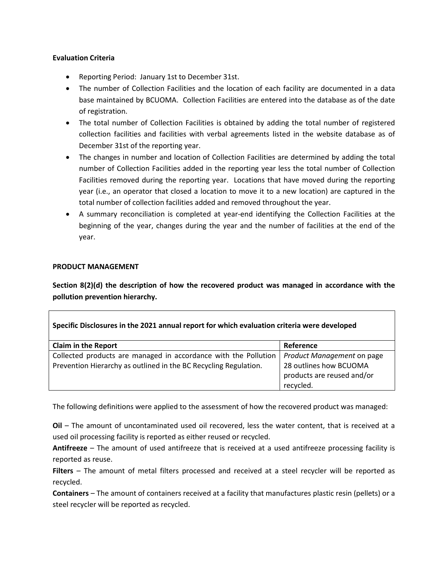## **Evaluation Criteria**

- Reporting Period: January 1st to December 31st.
- The number of Collection Facilities and the location of each facility are documented in a data base maintained by BCUOMA. Collection Facilities are entered into the database as of the date of registration.
- The total number of Collection Facilities is obtained by adding the total number of registered collection facilities and facilities with verbal agreements listed in the website database as of December 31st of the reporting year.
- The changes in number and location of Collection Facilities are determined by adding the total number of Collection Facilities added in the reporting year less the total number of Collection Facilities removed during the reporting year. Locations that have moved during the reporting year (i.e., an operator that closed a location to move it to a new location) are captured in the total number of collection facilities added and removed throughout the year.
- A summary reconciliation is completed at year-end identifying the Collection Facilities at the beginning of the year, changes during the year and the number of facilities at the end of the year.

## **PRODUCT MANAGEMENT**

**Section 8(2)(d) the description of how the recovered product was managed in accordance with the pollution prevention hierarchy.** 

| Specific Disclosures in the 2021 annual report for which evaluation criteria were developed |                            |  |  |  |  |  |
|---------------------------------------------------------------------------------------------|----------------------------|--|--|--|--|--|
| <b>Claim in the Report</b>                                                                  | Reference                  |  |  |  |  |  |
| Collected products are managed in accordance with the Pollution                             | Product Management on page |  |  |  |  |  |
| Prevention Hierarchy as outlined in the BC Recycling Regulation.                            | 28 outlines how BCUOMA     |  |  |  |  |  |
|                                                                                             | products are reused and/or |  |  |  |  |  |
|                                                                                             | recycled.                  |  |  |  |  |  |

The following definitions were applied to the assessment of how the recovered product was managed:

**Oil** – The amount of uncontaminated used oil recovered, less the water content, that is received at a used oil processing facility is reported as either reused or recycled.

**Antifreeze** – The amount of used antifreeze that is received at a used antifreeze processing facility is reported as reuse.

**Filters** – The amount of metal filters processed and received at a steel recycler will be reported as recycled.

**Containers** – The amount of containers received at a facility that manufactures plastic resin (pellets) or a steel recycler will be reported as recycled.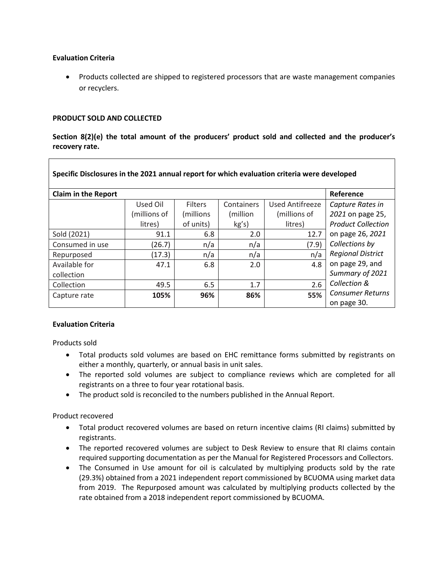## **Evaluation Criteria**

• Products collected are shipped to registered processors that are waste management companies or recyclers.

## **PRODUCT SOLD AND COLLECTED**

**Section 8(2)(e) the total amount of the producers' product sold and collected and the producer's recovery rate.** 

| Specific Disclosures in the 2021 annual report for which evaluation criteria were developed |              |                |            |                 |                           |  |  |  |  |
|---------------------------------------------------------------------------------------------|--------------|----------------|------------|-----------------|---------------------------|--|--|--|--|
| <b>Claim in the Report</b>                                                                  | Reference    |                |            |                 |                           |  |  |  |  |
|                                                                                             | Used Oil     | <b>Filters</b> | Containers | Used Antifreeze | Capture Rates in          |  |  |  |  |
|                                                                                             | (millions of | (millions)     | (million   | (millions of    | 2021 on page 25,          |  |  |  |  |
|                                                                                             | litres)      | of units)      | kg's)      | litres)         | <b>Product Collection</b> |  |  |  |  |
| Sold (2021)                                                                                 | 91.1         | 6.8            | 2.0        | 12.7            | on page 26, 2021          |  |  |  |  |
| Consumed in use                                                                             | (26.7)       | n/a            | n/a        | (7.9)           | Collections by            |  |  |  |  |
| Repurposed                                                                                  | (17.3)       | n/a            | n/a        | n/a             | <b>Regional District</b>  |  |  |  |  |
| Available for                                                                               | 47.1         | 6.8            | 2.0        | 4.8             | on page 29, and           |  |  |  |  |
| collection                                                                                  |              |                |            |                 | Summary of 2021           |  |  |  |  |
| Collection                                                                                  | 49.5         | 6.5            | 1.7        | 2.6             | Collection &              |  |  |  |  |
| Capture rate                                                                                | 105%         | 96%            | 86%        | 55%             | <b>Consumer Returns</b>   |  |  |  |  |
|                                                                                             |              |                |            |                 | on page 30.               |  |  |  |  |

## **Evaluation Criteria**

Products sold

- Total products sold volumes are based on EHC remittance forms submitted by registrants on either a monthly, quarterly, or annual basis in unit sales.
- The reported sold volumes are subject to compliance reviews which are completed for all registrants on a three to four year rotational basis.
- The product sold is reconciled to the numbers published in the Annual Report.

## Product recovered

- Total product recovered volumes are based on return incentive claims (RI claims) submitted by registrants.
- The reported recovered volumes are subject to Desk Review to ensure that RI claims contain required supporting documentation as per the Manual for Registered Processors and Collectors.
- The Consumed in Use amount for oil is calculated by multiplying products sold by the rate (29.3%) obtained from a 2021 independent report commissioned by BCUOMA using market data from 2019. The Repurposed amount was calculated by multiplying products collected by the rate obtained from a 2018 independent report commissioned by BCUOMA.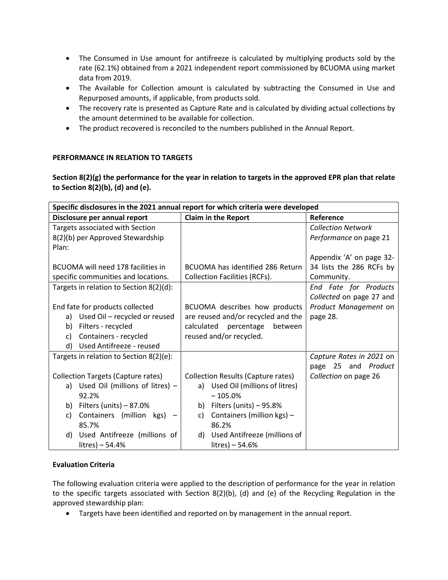- The Consumed in Use amount for antifreeze is calculated by multiplying products sold by the rate (62.1%) obtained from a 2021 independent report commissioned by BCUOMA using market data from 2019.
- The Available for Collection amount is calculated by subtracting the Consumed in Use and Repurposed amounts, if applicable, from products sold.
- The recovery rate is presented as Capture Rate and is calculated by dividing actual collections by the amount determined to be available for collection.
- The product recovered is reconciled to the numbers published in the Annual Report.

# **PERFORMANCE IN RELATION TO TARGETS**

**Section 8(2)(g) the performance for the year in relation to targets in the approved EPR plan that relate to Section 8(2)(b), (d) and (e).** 

| Specific disclosures in the 2021 annual report for which criteria were developed |                                           |                           |  |  |  |  |  |
|----------------------------------------------------------------------------------|-------------------------------------------|---------------------------|--|--|--|--|--|
| Disclosure per annual report                                                     | <b>Claim in the Report</b>                | Reference                 |  |  |  |  |  |
| Targets associated with Section                                                  |                                           | <b>Collection Network</b> |  |  |  |  |  |
| 8(2)(b) per Approved Stewardship                                                 |                                           | Performance on page 21    |  |  |  |  |  |
| Plan:                                                                            |                                           |                           |  |  |  |  |  |
|                                                                                  |                                           | Appendix 'A' on page 32-  |  |  |  |  |  |
| BCUOMA will need 178 facilities in                                               | BCUOMA has identified 286 Return          | 34 lists the 286 RCFs by  |  |  |  |  |  |
| specific communities and locations.                                              | <b>Collection Facilities (RCFs).</b>      | Community.                |  |  |  |  |  |
| Targets in relation to Section 8(2)(d):                                          |                                           | End Fate for Products     |  |  |  |  |  |
|                                                                                  |                                           | Collected on page 27 and  |  |  |  |  |  |
| End fate for products collected                                                  | BCUOMA describes how products             | Product Management on     |  |  |  |  |  |
| a) Used Oil - recycled or reused                                                 | are reused and/or recycled and the        | page 28.                  |  |  |  |  |  |
| Filters - recycled<br>b)                                                         | calculated percentage<br>between          |                           |  |  |  |  |  |
| Containers - recycled<br>c)                                                      | reused and/or recycled.                   |                           |  |  |  |  |  |
| Used Antifreeze - reused<br>d)                                                   |                                           |                           |  |  |  |  |  |
| Targets in relation to Section 8(2)(e):                                          |                                           | Capture Rates in 2021 on  |  |  |  |  |  |
|                                                                                  |                                           | page 25 and Product       |  |  |  |  |  |
| <b>Collection Targets (Capture rates)</b>                                        | <b>Collection Results (Capture rates)</b> | Collection on page 26     |  |  |  |  |  |
| a) Used Oil (millions of litres) -                                               | a) Used Oil (millions of litres)          |                           |  |  |  |  |  |
| 92.2%                                                                            | $-105.0%$                                 |                           |  |  |  |  |  |
| b) Filters (units) $-87.0%$                                                      | Filters (units) $-95.8%$<br>b)            |                           |  |  |  |  |  |
| Containers (million kgs) -<br>c)                                                 | Containers (million kgs) -<br>C)          |                           |  |  |  |  |  |
| 85.7%                                                                            | 86.2%                                     |                           |  |  |  |  |  |
| Used Antifreeze (millions of<br>d)                                               | Used Antifreeze (millions of<br>d)        |                           |  |  |  |  |  |
| litres) - 54.4%                                                                  | $litres$ – 54.6%                          |                           |  |  |  |  |  |

# **Evaluation Criteria**

The following evaluation criteria were applied to the description of performance for the year in relation to the specific targets associated with Section 8(2)(b), (d) and (e) of the Recycling Regulation in the approved stewardship plan:

Targets have been identified and reported on by management in the annual report.